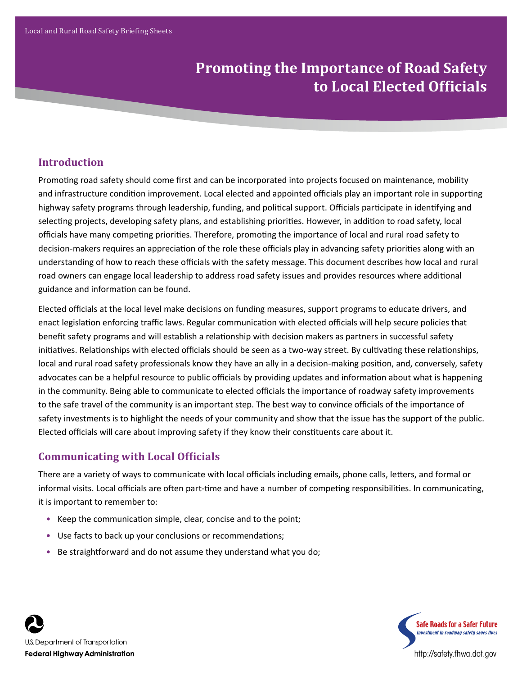# **Promoting the Importance of Road Safety to Local Elected Officials**

# **Introduction**

Promoting road safety should come first and can be incorporated into projects focused on maintenance, mobility and infrastructure condition improvement. Local elected and appointed officials play an important role in supporting highway safety programs through leadership, funding, and political support. Officials participate in identifying and selecting projects, developing safety plans, and establishing priorities. However, in addition to road safety, local officials have many competing priorities. Therefore, promoting the importance of local and rural road safety to decision-makers requires an appreciation of the role these officials play in advancing safety priorities along with an understanding of how to reach these officials with the safety message. This document describes how local and rural road owners can engage local leadership to address road safety issues and provides resources where additional guidance and information can be found.

Elected officials at the local level make decisions on funding measures, support programs to educate drivers, and enact legislation enforcing traffic laws. Regular communication with elected officials will help secure policies that benefit safety programs and will establish a relationship with decision makers as partners in successful safety initiatives. Relationships with elected officials should be seen as a two-way street. By cultivating these relationships, local and rural road safety professionals know they have an ally in a decision-making position, and, conversely, safety advocates can be a helpful resource to public officials by providing updates and information about what is happening in the community. Being able to communicate to elected officials the importance of roadway safety improvements to the safe travel of the community is an important step. The best way to convince officials of the importance of safety investments is to highlight the needs of your community and show that the issue has the support of the public. Elected officials will care about improving safety if they know their constituents care about it.

## **Communicating with Local Officials**

There are a variety of ways to communicate with local officials including emails, phone calls, letters, and formal or informal visits. Local officials are often part-time and have a number of competing responsibilities. In communicating, it is important to remember to:

- Keep the communication simple, clear, concise and to the point;
- Use facts to back up your conclusions or recommendations;
- Be straightforward and do not assume they understand what you do;



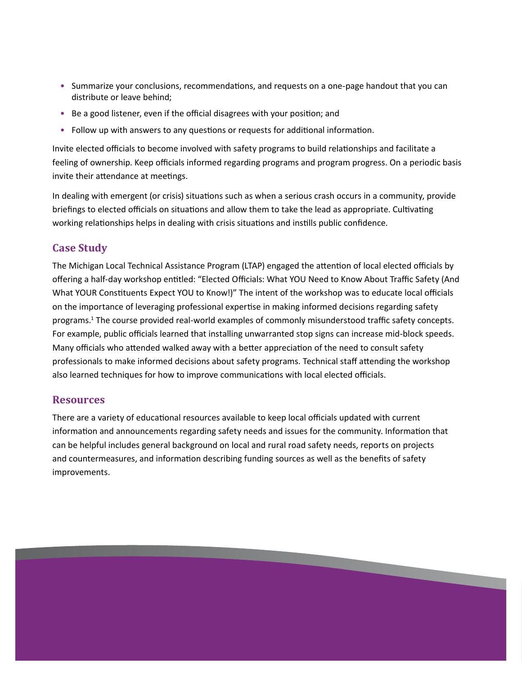- Summarize your conclusions, recommendations, and requests on a one-page handout that you can distribute or leave behind;
- Be a good listener, even if the official disagrees with your position; and
- Follow up with answers to any questions or requests for additional information.

Invite elected officials to become involved with safety programs to build relationships and facilitate a feeling of ownership. Keep officials informed regarding programs and program progress. On a periodic basis invite their attendance at meetings.

In dealing with emergent (or crisis) situations such as when a serious crash occurs in a community, provide briefings to elected officials on situations and allow them to take the lead as appropriate. Cultivating working relationships helps in dealing with crisis situations and instills public confidence.

## **Case Study**

The Michigan Local Technical Assistance Program (LTAP) engaged the attention of local elected officials by offering a half-day workshop entitled: "Elected Officials: What YOU Need to Know About Traffic Safety (And What YOUR Constituents Expect YOU to Know!)" The intent of the workshop was to educate local officials on the importance of leveraging professional expertise in making informed decisions regarding safety programs.<sup>1</sup> The course provided real-world examples of commonly misunderstood traffic safety concepts. For example, public officials learned that installing unwarranted stop signs can increase mid-block speeds. Many officials who attended walked away with a better appreciation of the need to consult safety professionals to make informed decisions about safety programs. Technical staff attending the workshop also learned techniques for how to improve communications with local elected officials.

### **Resources**

There are a variety of educational resources available to keep local officials updated with current information and announcements regarding safety needs and issues for the community. Information that can be helpful includes general background on local and rural road safety needs, reports on projects and countermeasures, and information describing funding sources as well as the benefits of safety improvements.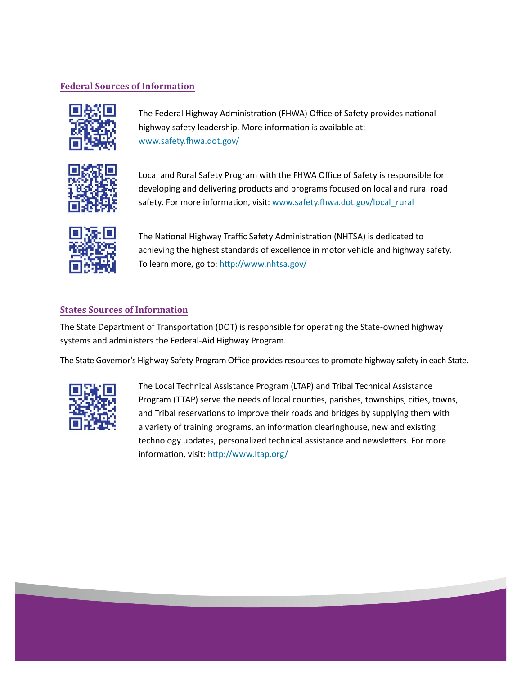#### **Federal Sources of Information**



The Federal Highway Administration (FHWA) Office of Safety provides national highway safety leadership. More information is available at: www.safety.fhwa.dot.gov/



Local and Rural Safety Program with the FHWA Office of Safety is responsible for developing and delivering products and programs focused on local and rural road safety. For more information, visit: www.safety.fhwa.dot.gov/local\_rural



The National Highway Traffic Safety Administration (NHTSA) is dedicated to achieving the highest standards of excellence in motor vehicle and highway safety. To learn more, go to: http://www.nhtsa.gov/

#### **States Sources of Information**

The State Department of Transportation (DOT) is responsible for operating the State-owned highway systems and administers the Federal-Aid Highway Program.

The State Governor's Highway Safety Program Office provides resources to promote highway safety in each State.



The Local Technical Assistance Program (LTAP) and Tribal Technical Assistance Program (TTAP) serve the needs of local counties, parishes, townships, cities, towns, and Tribal reservations to improve their roads and bridges by supplying them with a variety of training programs, an information clearinghouse, new and existing technology updates, personalized technical assistance and newsletters. For more information, visit: http://www.ltap.org/